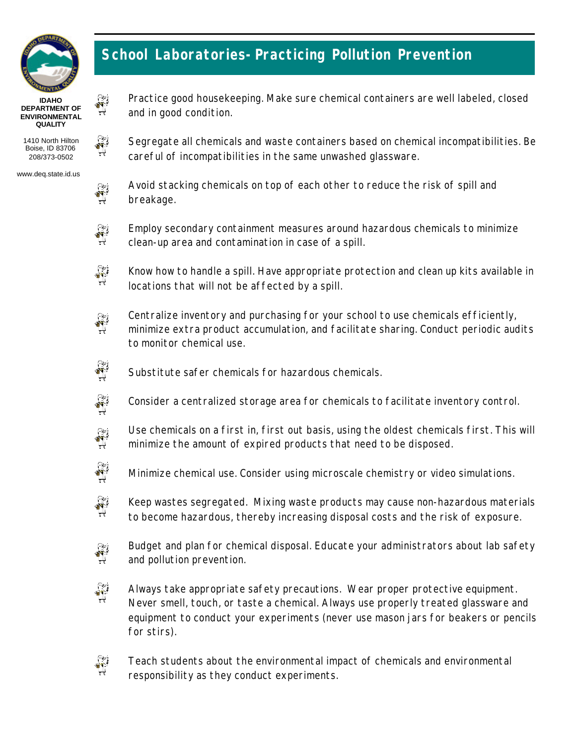

## **School Laboratories-Practicing Pollution Prevention**

careful of incompatibilities in the same unwashed glassware.

**IDAHO DEPARTMENT OF ENVIRONMENTAL QUALITY**

1410 North Hilton Boise, ID 83706 208/373-0502

www.deq.state.id.us



 $\hat{\vec{X}}$  $\rightarrow$ 

 $\hat{\vec{N}}$ 

and in good condition.

Avoid stacking chemicals on top of each other to reduce the risk of spill and breakage.

Practice good housekeeping. Make sure chemical containers are well labeled, closed

Segregate all chemicals and waste containers based on chemical incompatibilities. Be



Employ secondary containment measures around hazardous chemicals to minimize clean-up area and contamination in case of a spill.



Know how to handle a spill. Have appropriate protection and clean up kits available in locations that will not be affected by a spill.



Centralize inventory and purchasing for your school to use chemicals efficiently, minimize extra product accumulation, and facilitate sharing. Conduct periodic audits to monitor chemical use.



Substitute safer chemicals for hazardous chemicals.

 $\sum_{i=1}^{\infty}$ Consider a centralized storage area for chemicals to facilitate inventory control.

- Use chemicals on a first in, first out basis, using the oldest chemicals first. This will  $\begin{pmatrix} 1 & 1 \\ 1 & 1 \\ 1 & 1 \end{pmatrix}$ minimize the amount of expired products that need to be disposed.
- $\sum_{i=1}^{n}$

Minimize chemical use. Consider using microscale chemistry or video simulations.

 $\hat{\mathbf{v}}$ Keep wastes segregated. Mixing waste products may cause non-hazardous materials to become hazardous, thereby increasing disposal costs and the risk of exposure.



 $\frac{1}{N}$ Always take appropriate safety precautions. Wear proper protective equipment. Never smell, touch, or taste a chemical. Always use properly treated glassware and equipment to conduct your experiments (never use mason jars for beakers or pencils for stirs).